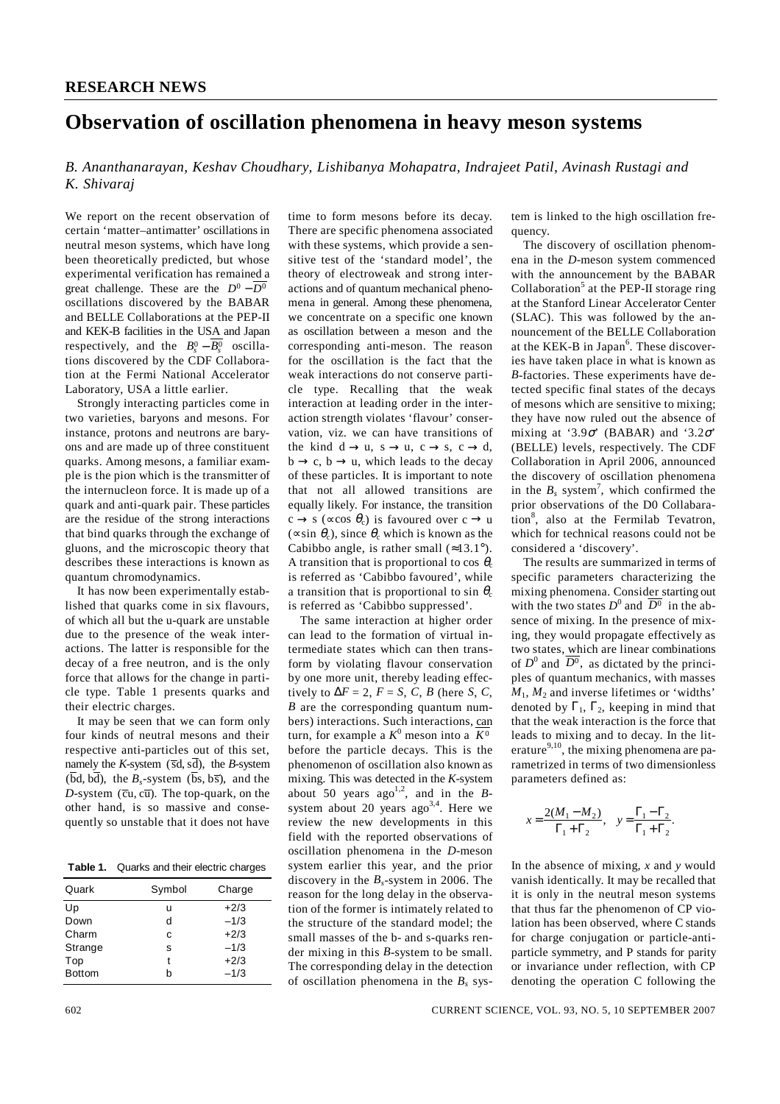## **Observation of oscillation phenomena in heavy meson systems**

*B. Ananthanarayan, Keshav Choudhary, Lishibanya Mohapatra, Indrajeet Patil, Avinash Rustagi and K. Shivaraj* 

We report on the recent observation of certain 'matter–antimatter' oscillations in neutral meson systems, which have long been theoretically predicted, but whose experimental verification has remained a great challenge. These are the  $D^0 - \overline{D^0}$ oscillations discovered by the BABAR and BELLE Collaborations at the PEP-II and KEK-B facilities in the USA and Japan respectively, and the  $B_s^0 - \overline{B_s^0}$  oscillations discovered by the CDF Collaboration at the Fermi National Accelerator Laboratory, USA a little earlier.

 Strongly interacting particles come in two varieties, baryons and mesons. For instance, protons and neutrons are baryons and are made up of three constituent quarks. Among mesons, a familiar example is the pion which is the transmitter of the internucleon force. It is made up of a quark and anti-quark pair. These particles are the residue of the strong interactions that bind quarks through the exchange of gluons, and the microscopic theory that describes these interactions is known as quantum chromodynamics.

 It has now been experimentally established that quarks come in six flavours, of which all but the u-quark are unstable due to the presence of the weak interactions. The latter is responsible for the decay of a free neutron, and is the only force that allows for the change in particle type. Table 1 presents quarks and their electric charges.

 It may be seen that we can form only four kinds of neutral mesons and their respective anti-particles out of this set, namely the *K*-system ( $\overline{sd}$ ,  $\overline{sd}$ ), the *B*-system  $(\overline{bd}, \overline{bd})$ , the *B<sub>s</sub>*-system  $(\overline{bs}, \overline{bs})$ , and the  $D$ -system ( $\overline{c}u$ ,  $c\overline{u}$ ). The top-quark, on the other hand, is so massive and consequently so unstable that it does not have

**Table 1.** Quarks and their electric charges

| Quark         | Symbol | Charge |
|---------------|--------|--------|
| Up            | u      | $+2/3$ |
| Down          | d      | $-1/3$ |
| Charm         | c      | $+2/3$ |
| Strange       | s      | $-1/3$ |
| Top           | t      | $+2/3$ |
| <b>Bottom</b> | h      | $-1/3$ |
|               |        |        |

time to form mesons before its decay. There are specific phenomena associated with these systems, which provide a sensitive test of the 'standard model', the theory of electroweak and strong interactions and of quantum mechanical phenomena in general. Among these phenomena, we concentrate on a specific one known as oscillation between a meson and the corresponding anti-meson. The reason for the oscillation is the fact that the weak interactions do not conserve particle type. Recalling that the weak interaction at leading order in the interaction strength violates 'flavour' conservation, viz. we can have transitions of the kind  $d \rightarrow u$ ,  $s \rightarrow u$ ,  $c \rightarrow s$ ,  $c \rightarrow d$ ,  $b \rightarrow c$ ,  $b \rightarrow u$ , which leads to the decay of these particles. It is important to note that not all allowed transitions are equally likely. For instance, the transition  $c \rightarrow s$  (∝cos  $\theta_c$ ) is favoured over  $c \rightarrow u$ ( $\propto$ sin  $\theta_c$ ), since  $\theta_c$  which is known as the Cabibbo angle, is rather small  $(\approx 13.1^{\circ})$ . A transition that is proportional to cos  $\theta_c$ is referred as 'Cabibbo favoured', while a transition that is proportional to sin  $\theta_c$ is referred as 'Cabibbo suppressed'.

 The same interaction at higher order can lead to the formation of virtual intermediate states which can then transform by violating flavour conservation by one more unit, thereby leading effectively to  $\Delta F = 2$ ,  $F = S$ , *C*, *B* (here *S*, *C*, *B* are the corresponding quantum numbers) interactions. Such interactions, can turn, for example a  $K^0$  meson into a  $\overline{K^0}$ before the particle decays. This is the phenomenon of oscillation also known as mixing. This was detected in the *K*-system about 50 years ago<sup>1,2</sup>, and in the *B*system about 20 years ago<sup>3,4</sup>. Here we review the new developments in this field with the reported observations of oscillation phenomena in the *D*-meson system earlier this year, and the prior discovery in the *Bs*-system in 2006. The reason for the long delay in the observation of the former is intimately related to the structure of the standard model; the small masses of the b- and s-quarks render mixing in this *B*-system to be small. The corresponding delay in the detection of oscillation phenomena in the  $B_s$  system is linked to the high oscillation frequency.

 The discovery of oscillation phenomena in the *D*-meson system commenced with the announcement by the BABAR Collaboration<sup>5</sup> at the PEP-II storage ring at the Stanford Linear Accelerator Center (SLAC). This was followed by the announcement of the BELLE Collaboration at the KEK-B in Japan<sup>6</sup>. These discoveries have taken place in what is known as *B*-factories. These experiments have detected specific final states of the decays of mesons which are sensitive to mixing; they have now ruled out the absence of mixing at '3.9 $\sigma$ ' (BABAR) and '3.2 $\sigma$ ' (BELLE) levels, respectively. The CDF Collaboration in April 2006, announced the discovery of oscillation phenomena in the  $B_s$  system<sup>7</sup>, which confirmed the prior observations of the D0 Collabaration<sup>8</sup>, also at the Fermilab Tevatron, which for technical reasons could not be considered a 'discovery'.

 The results are summarized in terms of specific parameters characterizing the mixing phenomena. Consider starting out with the two states  $D^0$  and  $\overline{D^0}$  in the absence of mixing. In the presence of mixing, they would propagate effectively as two states, which are linear combinations of  $D^0$  and  $\overline{D^0}$ , as dictated by the principles of quantum mechanics, with masses  $M_1$ ,  $M_2$  and inverse lifetimes or 'widths' denoted by  $\Gamma_1$ ,  $\Gamma_2$ , keeping in mind that that the weak interaction is the force that leads to mixing and to decay. In the literature<sup>9,10</sup>, the mixing phenomena are parametrized in terms of two dimensionless parameters defined as:

$$
x = \frac{2(M_1 - M_2)}{\Gamma_1 + \Gamma_2}, \quad y = \frac{\Gamma_1 - \Gamma_2}{\Gamma_1 + \Gamma_2}.
$$

In the absence of mixing, *x* and *y* would vanish identically. It may be recalled that it is only in the neutral meson systems that thus far the phenomenon of CP violation has been observed, where C stands for charge conjugation or particle-antiparticle symmetry, and P stands for parity or invariance under reflection, with CP denoting the operation C following the

602 CURRENT SCIENCE, VOL. 93, NO. 5, 10 SEPTEMBER 2007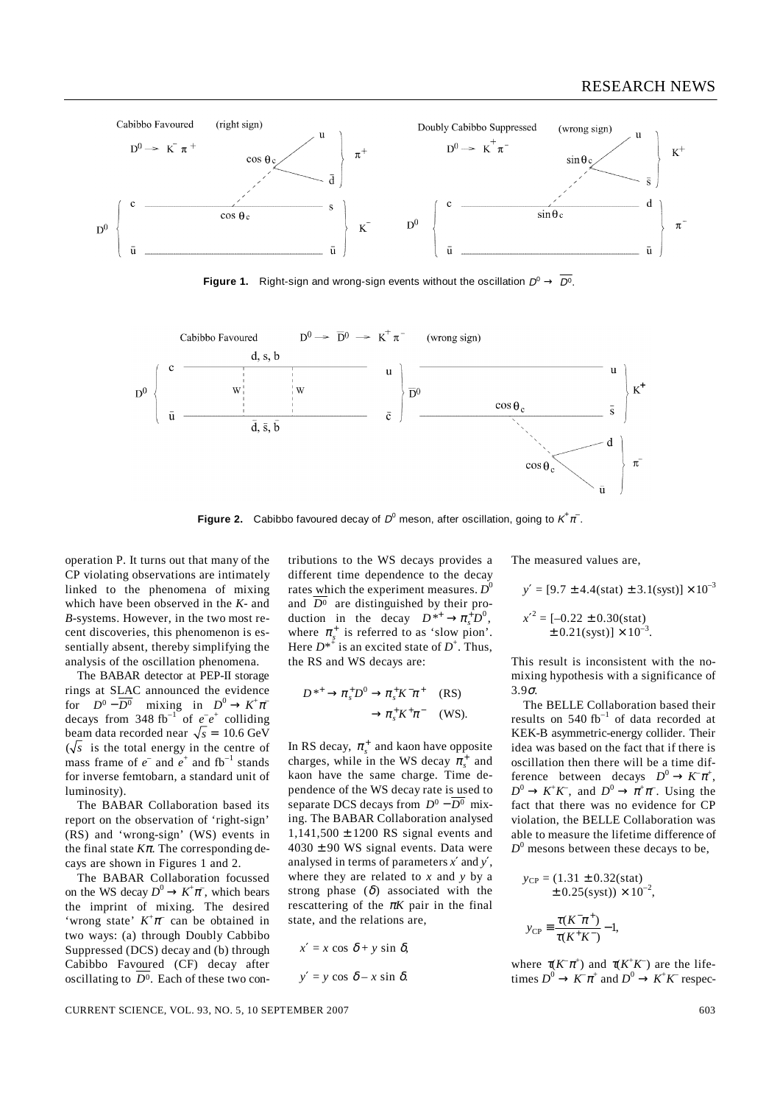

**Figure 1.** Right-sign and wrong-sign events without the oscillation  $D^0 \rightarrow \overline{D^0}$ .



**Figure 2.** Cabibbo favoured decay of  $D^0$  meson, after oscillation, going to  $K^{\dagger} \pi^{\dagger}$ .

operation P. It turns out that many of the CP violating observations are intimately linked to the phenomena of mixing which have been observed in the *K*- and *B*-systems. However, in the two most recent discoveries, this phenomenon is essentially absent, thereby simplifying the analysis of the oscillation phenomena.

 The BABAR detector at PEP-II storage rings at SLAC announced the evidence for  $D^0 - \overline{D^0}$  mixing in  $D^0 \to K^+ \pi^$ decays from 348 fb<sup>-1</sup> of  $e^-e^+$  colliding beam data recorded near  $\sqrt{s}$  = 10.6 GeV  $(\sqrt{s})$  is the total energy in the centre of mass frame of  $e^-$  and  $e^+$  and  $fb^{-1}$  stands for inverse femtobarn, a standard unit of luminosity).

 The BABAR Collaboration based its report on the observation of 'right-sign' (RS) and 'wrong-sign' (WS) events in the final state  $K\pi$ . The corresponding decays are shown in Figures 1 and 2.

 The BABAR Collaboration focussed on the WS decay  $D^0 \to K^+\pi^-$ , which bears the imprint of mixing. The desired 'wrong state'  $K^+\pi^-$  can be obtained in two ways: (a) through Doubly Cabbibo Suppressed (DCS) decay and (b) through Cabibbo Favoured (CF) decay after oscillating to  $D^0$ . Each of these two contributions to the WS decays provides a different time dependence to the decay rates which the experiment measures.  $D^0$ and  $\overline{D^0}$  are distinguished by their production in the decay  $D^{*+} \to \pi_s^+ D^0$ , where  $\pi_s^+$  is referred to as 'slow pion'. Here  $D^{*+}$  is an excited state of  $D^+$ . Thus, the RS and WS decays are:

$$
D^{*+} \to \pi_s^+ D^0 \to \pi_s^+ K^- \pi^+ \quad (RS)
$$

$$
\to \pi_s^+ K^+ \pi^- \quad (WS).
$$

In RS decay,  $\pi_s^+$  and kaon have opposite charges, while in the WS decay  $\pi_s^+$  and kaon have the same charge. Time dependence of the WS decay rate is used to separate DCS decays from  $D^0 - \overline{D^0}$  mixing. The BABAR Collaboration analysed  $1,141,500 \pm 1200$  RS signal events and  $4030 \pm 90$  WS signal events. Data were analysed in terms of parameters *x*′ and *y*′, where they are related to *x* and *y* by a strong phase  $(\delta)$  associated with the rescattering of the  $\pi K$  pair in the final state, and the relations are,

$$
x' = x \cos \delta + y \sin \delta,
$$
  

$$
y' = y \cos \delta - x \sin \delta.
$$

The measured values are,

$$
y' = [9.7 \pm 4.4 \text{(stat)} \pm 3.1 \text{(syst)}] \times 10^{-3}
$$

$$
x'^{2} = [-0.22 \pm 0.30 \text{(stat)}]
$$

$$
\pm 0.21 \text{(syst)} \times 10^{-3}.
$$

This result is inconsistent with the nomixing hypothesis with a significance of 3.9σ.

 The BELLE Collaboration based their results on  $540$  fb<sup>-1</sup> of data recorded at KEK-B asymmetric-energy collider. Their idea was based on the fact that if there is oscillation then there will be a time difference between decays  $D^0 \to K \pi^+$ ,  $D^0 \to K^+K^-$ , and  $D^0 \to \pi^+\pi^-$ . Using the fact that there was no evidence for CP violation, the BELLE Collaboration was able to measure the lifetime difference of *D*0 mesons between these decays to be,

$$
y_{CP} = (1.31 \pm 0.32 \text{(stat)}\pm 0.25 \text{(syst)}) \times 10^{-2},
$$

$$
y_{CP} \equiv \frac{\tau (K^- \pi^+)}{\tau (K^+ K^-)} - 1,
$$

where  $\pi(K^-\pi^+)$  and  $\pi(K^+K^-)$  are the lifetimes  $D^0 \to K^-\pi^+$  and  $D^0 \to K^+K^-$  respec